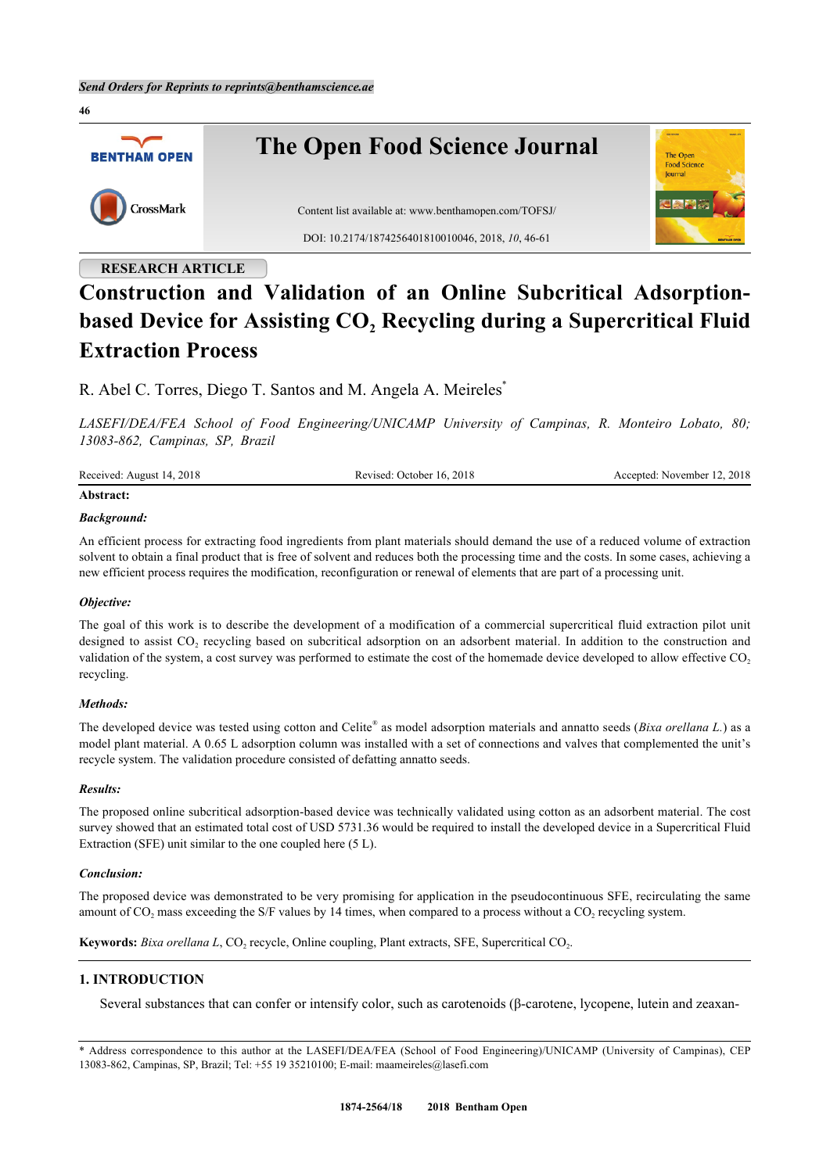

# **Construction and Validation of an Online Subcritical Adsorptionbased Device for Assisting CO<sup>2</sup> Recycling during a Supercritical Fluid Extraction Process**

R. Abel C. Torres, Diego T. Santos and M. Angela A. Meireles<sup>[\\*](#page-0-0)</sup>

*LASEFI/DEA/FEA School of Food Engineering/UNICAMP University of Campinas, R. Monteiro Lobato, 80; 13083-862, Campinas, SP, Brazil*

| Received: August 14, 2018 | Revised: October 16, 2018 | Accepted: November 12, 2018 |
|---------------------------|---------------------------|-----------------------------|
|                           |                           |                             |

# **Abstract:**

## *Background:*

An efficient process for extracting food ingredients from plant materials should demand the use of a reduced volume of extraction solvent to obtain a final product that is free of solvent and reduces both the processing time and the costs. In some cases, achieving a new efficient process requires the modification, reconfiguration or renewal of elements that are part of a processing unit.

#### *Objective:*

The goal of this work is to describe the development of a modification of a commercial supercritical fluid extraction pilot unit designed to assist CO<sub>2</sub> recycling based on subcritical adsorption on an adsorbent material. In addition to the construction and validation of the system, a cost survey was performed to estimate the cost of the homemade device developed to allow effective  $CO<sub>2</sub>$ recycling.

### *Methods:*

The developed device was tested using cotton and Celite® as model adsorption materials and annatto seeds (*Bixa orellana L*.) as a model plant material. A 0.65 L adsorption column was installed with a set of connections and valves that complemented the unit's recycle system. The validation procedure consisted of defatting annatto seeds.

#### *Results:*

The proposed online subcritical adsorption-based device was technically validated using cotton as an adsorbent material. The cost survey showed that an estimated total cost of USD 5731.36 would be required to install the developed device in a Supercritical Fluid Extraction (SFE) unit similar to the one coupled here (5 L).

#### *Conclusion:*

The proposed device was demonstrated to be very promising for application in the pseudocontinuous SFE, recirculating the same amount of  $CO_2$  mass exceeding the S/F values by 14 times, when compared to a process without a  $CO_2$  recycling system.

Keywords: *Bixa orellana L*, CO<sub>2</sub> recycle, Online coupling, Plant extracts, SFE, Supercritical CO<sub>2</sub>.

# **1. INTRODUCTION**

Several substances that can confer or intensify color, such as carotenoids (β-carotene, lycopene, lutein and zeaxan-

<span id="page-0-0"></span><sup>\*</sup> Address correspondence to this author at the LASEFI/DEA/FEA (School of Food Engineering)/UNICAMP (University of Campinas), CEP 13083-862, Campinas, SP, Brazil; Tel: +55 19 35210100; E-mail: [maameireles@lasefi.com](mailto:maameireles@lasefi.com)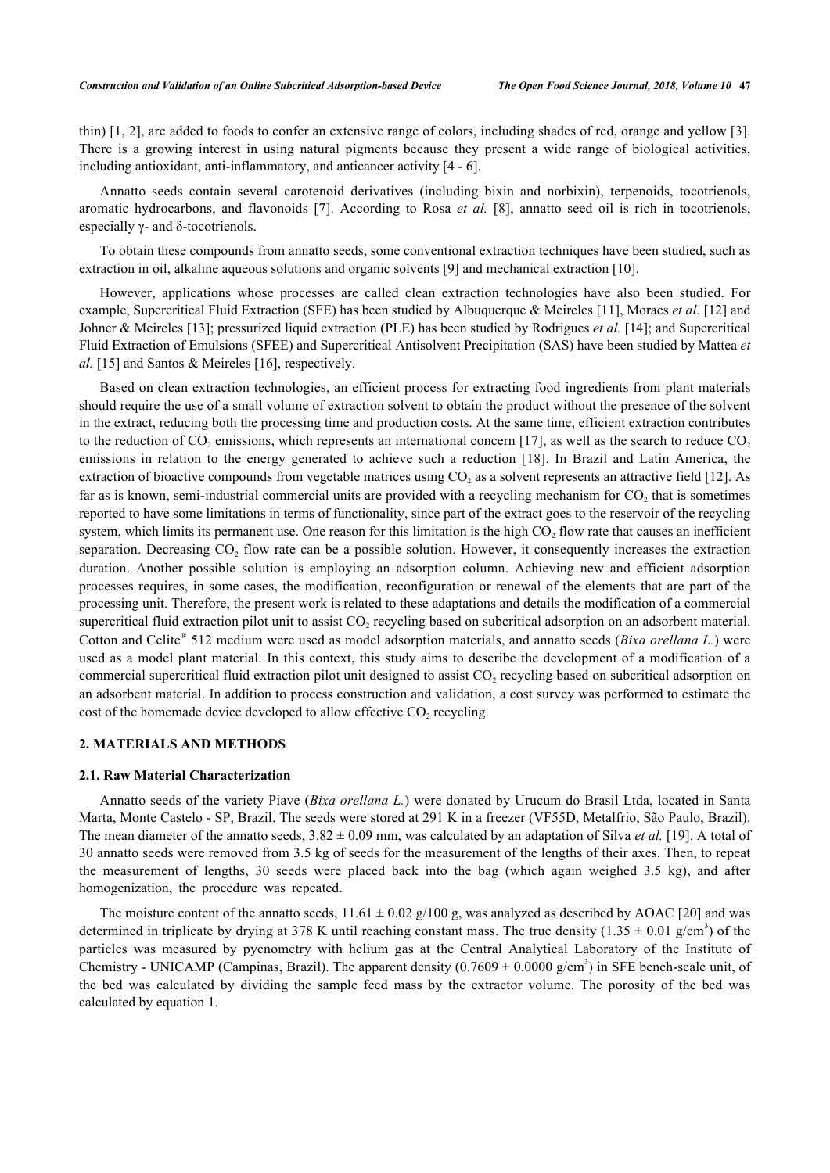thin) [\[1](#page-13-0), [2\]](#page-13-1), are added to foods to confer an extensive range of colors, including shades of red, orange and yellow [[3\]](#page-13-2). There is a growing interest in using natural pigments because they present a wide range of biological activities, including antioxidant, anti-inflammatory, and anticancer activity [\[4](#page-14-0) - [6](#page-14-1)].

Annatto seeds contain several carotenoid derivatives (including bixin and norbixin), terpenoids, tocotrienols, aromatic hydrocarbons, and flavonoids[[7\]](#page-14-2). According to Rosa *et al.* [[8\]](#page-14-3), annatto seed oil is rich in tocotrienols, especially γ- and δ-tocotrienols.

To obtain these compounds from annatto seeds, some conventional extraction techniques have been studied, such as extraction in oil, alkaline aqueous solutions and organic solvents [\[9](#page-14-4)] and mechanical extraction [[10\]](#page-14-5).

However, applications whose processes are called clean extraction technologies have also been studied. For example, Supercritical Fluid Extraction (SFE) has been studied by Albuquerque & Meireles [\[11](#page-14-6)], Moraes *et al.* [\[12](#page-14-7)] and Johner & Meireles [\[13](#page-14-8)]; pressurized liquid extraction (PLE) has been studied by Rodrigues *et al.* [[14\]](#page-14-9); and Supercritical Fluid Extraction of Emulsions (SFEE) and Supercritical Antisolvent Precipitation (SAS) have been studied by Mattea *et al.* [[15\]](#page-14-10) and Santos & Meireles [[16\]](#page-14-11), respectively.

Based on clean extraction technologies, an efficient process for extracting food ingredients from plant materials should require the use of a small volume of extraction solvent to obtain the product without the presence of the solvent in the extract, reducing both the processing time and production costs. At the same time, efficient extraction contributes to the reduction of  $CO_2$  emissions, which represents an international concern [[17](#page-14-12)], as well as the search to reduce  $CO_2$ emissions in relation to the energy generated to achieve such a reduction[[18](#page-14-13)]. In Brazil and Latin America, the extraction of bioactive compounds from vegetable matrices using  $CO_2$  as a solvent represents an attractive field [\[12](#page-14-7)]. As far as is known, semi-industrial commercial units are provided with a recycling mechanism for  $CO_2$  that is sometimes reported to have some limitations in terms of functionality, since part of the extract goes to the reservoir of the recycling system, which limits its permanent use. One reason for this limitation is the high  $CO<sub>2</sub>$  flow rate that causes an inefficient separation. Decreasing  $CO<sub>2</sub>$  flow rate can be a possible solution. However, it consequently increases the extraction duration. Another possible solution is employing an adsorption column. Achieving new and efficient adsorption processes requires, in some cases, the modification, reconfiguration or renewal of the elements that are part of the processing unit. Therefore, the present work is related to these adaptations and details the modification of a commercial supercritical fluid extraction pilot unit to assist  $CO_2$  recycling based on subcritical adsorption on an adsorbent material. Cotton and Celite® 512 medium were used as model adsorption materials, and annatto seeds (*Bixa orellana L*.) were used as a model plant material. In this context, this study aims to describe the development of a modification of a commercial supercritical fluid extraction pilot unit designed to assist  $CO_2$  recycling based on subcritical adsorption on an adsorbent material. In addition to process construction and validation, a cost survey was performed to estimate the cost of the homemade device developed to allow effective  $CO<sub>2</sub>$  recycling.

# **2. MATERIALS AND METHODS**

# **2.1. Raw Material Characterization**

Annatto seeds of the variety Piave (*Bixa orellana L.*) were donated by Urucum do Brasil Ltda, located in Santa Marta, Monte Castelo - SP, Brazil. The seeds were stored at 291 K in a freezer (VF55D, Metalfrio, São Paulo, Brazil). The mean diameter of the annatto seeds,  $3.82 \pm 0.09$  mm, was calculated by an adaptation of Silva *et al.* [[19\]](#page-14-14). A total of 30 annatto seeds were removed from 3.5 kg of seeds for the measurement of the lengths of their axes. Then, to repeat the measurement of lengths, 30 seeds were placed back into the bag (which again weighed 3.5 kg), and after homogenization, the procedure was repeated.

The moisture content of the annatto seeds,  $11.61 \pm 0.02$  g/100 g, was analyzed as described by AOAC [[20\]](#page-14-15) and was determined in triplicate by drying at 378 K until reaching constant mass. The true density  $(1.35 \pm 0.01 \text{ g/cm}^3)$  of the particles was measured by pycnometry with helium gas at the Central Analytical Laboratory of the Institute of Chemistry - UNICAMP (Campinas, Brazil). The apparent density  $(0.7609 \pm 0.0000 \text{ g/cm}^3)$  in SFE bench-scale unit, of the bed was calculated by dividing the sample feed mass by the extractor volume. The porosity of the bed was calculated by equation 1.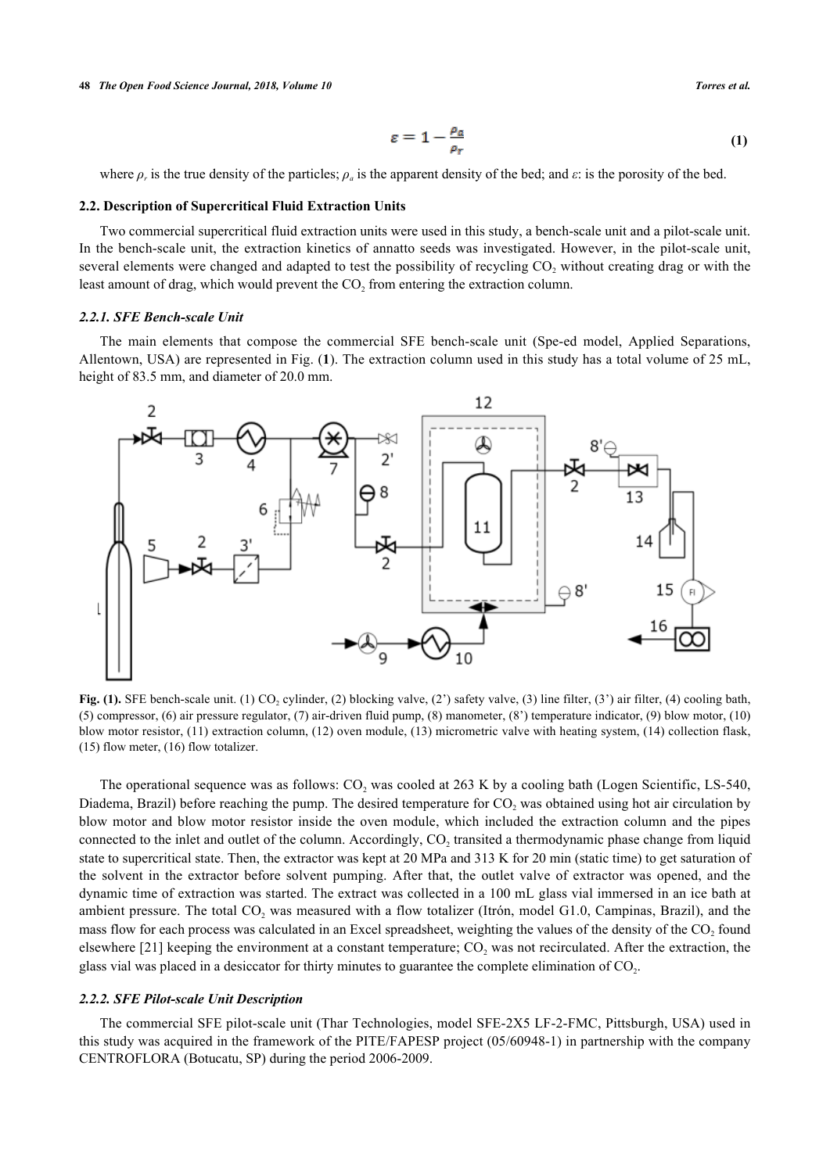#### **48** *The Open Food Science Journal, 2018, Volume 10 Torres et al.*

$$
\varepsilon = 1 - \frac{\rho_a}{\rho_r} \tag{1}
$$

where  $\rho_r$  is the true density of the particles;  $\rho_a$  is the apparent density of the bed; and  $\varepsilon$ : is the porosity of the bed.

#### **2.2. Description of Supercritical Fluid Extraction Units**

Two commercial supercritical fluid extraction units were used in this study, a bench-scale unit and a pilot-scale unit. In the bench-scale unit, the extraction kinetics of annatto seeds was investigated. However, in the pilot-scale unit, several elements were changed and adapted to test the possibility of recycling  $CO_2$  without creating drag or with the least amount of drag, which would prevent the  $CO<sub>2</sub>$  from entering the extraction column.

# *2.2.1. SFE Bench-scale Unit*

The main elements that compose the commercial SFE bench-scale unit (Spe-ed model, Applied Separations, Allentown, USA) are represented in Fig. (**[1](#page-2-0)**). The extraction column used in this study has a total volume of 25 mL, height of 83.5 mm, and diameter of 20.0 mm.

<span id="page-2-0"></span>

**Fig. (1).** SFE bench-scale unit. (1)  $CO_2$  cylinder, (2) blocking valve, (2') safety valve, (3) line filter, (3') air filter, (4) cooling bath, (5) compressor, (6) air pressure regulator, (7) air-driven fluid pump, (8) manometer, (8') temperature indicator, (9) blow motor, (10) blow motor resistor, (11) extraction column, (12) oven module, (13) micrometric valve with heating system, (14) collection flask, (15) flow meter, (16) flow totalizer.

The operational sequence was as follows:  $CO_2$  was cooled at 263 K by a cooling bath (Logen Scientific, LS-540, Diadema, Brazil) before reaching the pump. The desired temperature for  $CO_2$  was obtained using hot air circulation by blow motor and blow motor resistor inside the oven module, which included the extraction column and the pipes connected to the inlet and outlet of the column. Accordingly,  $CO_2$  transited a thermodynamic phase change from liquid state to supercritical state. Then, the extractor was kept at 20 MPa and 313 K for 20 min (static time) to get saturation of the solvent in the extractor before solvent pumping. After that, the outlet valve of extractor was opened, and the dynamic time of extraction was started. The extract was collected in a 100 mL glass vial immersed in an ice bath at ambient pressure. The total  $CO_2$  was measured with a flow totalizer (Itrón, model G1.0, Campinas, Brazil), and the mass flow for each process was calculated in an Excel spreadsheet, weighting the values of the density of the  $CO<sub>2</sub>$  found elsewhere [[21\]](#page-14-16) keeping the environment at a constant temperature;  $CO_2$  was not recirculated. After the extraction, the glass vial was placed in a desiccator for thirty minutes to guarantee the complete elimination of  $CO_2$ .

# *2.2.2. SFE Pilot-scale Unit Description*

The commercial SFE pilot-scale unit (Thar Technologies, model SFE-2X5 LF-2-FMC, Pittsburgh, USA) used in this study was acquired in the framework of the PITE/FAPESP project (05/60948-1) in partnership with the company CENTROFLORA (Botucatu, SP) during the period 2006-2009.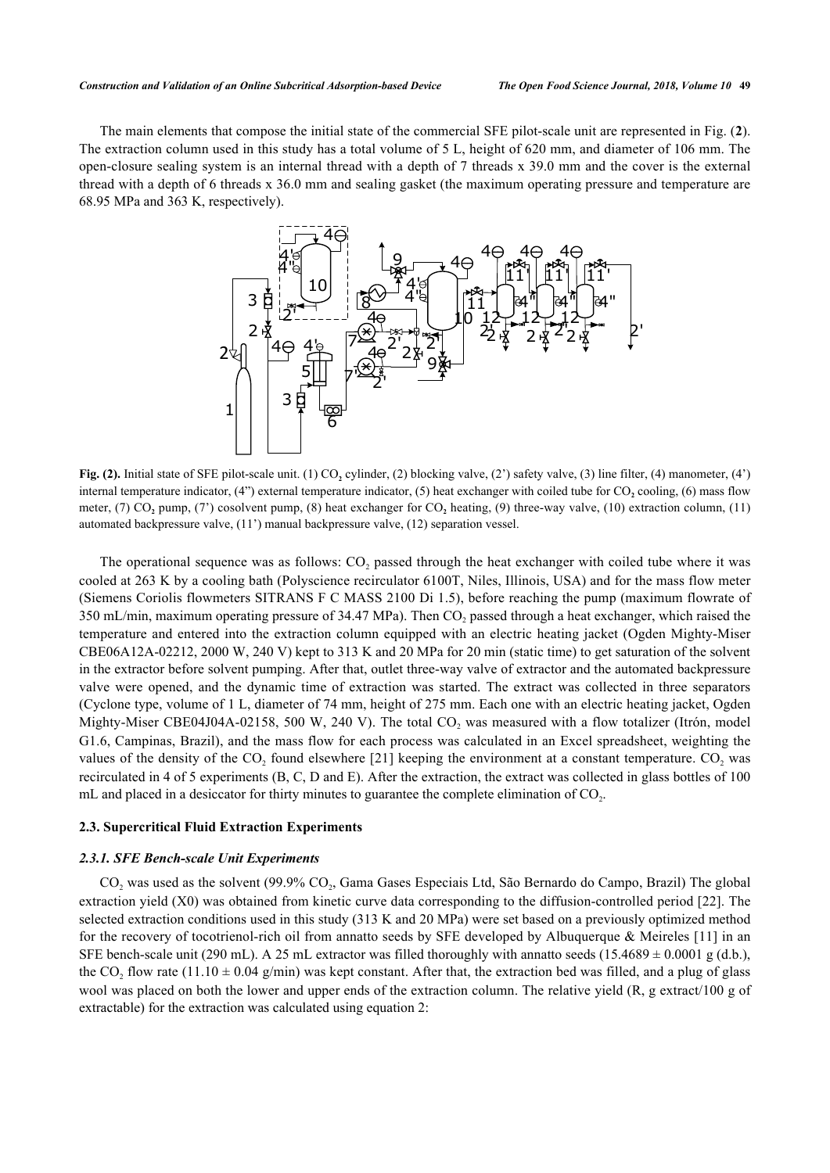<span id="page-3-0"></span>The main elements that compose the initial state of the commercial SFE pilot-scale unit are represented in Fig. (**[2](#page-3-0)**). The extraction column used in this study has a total volume of 5 L, height of 620 mm, and diameter of 106 mm. The open-closure sealing system is an internal thread with a depth of 7 threads x 39.0 mm and the cover is the external thread with a depth of 6 threads x 36.0 mm and sealing gasket (the maximum operating pressure and temperature are 68.95 MPa and 363 K, respectively).



**Fig. (2).** Initial state of SFE pilot-scale unit. (1) CO<sub>2</sub> cylinder, (2) blocking valve, (2') safety valve, (3) line filter, (4) manometer, (4') internal temperature indicator, (4") external temperature indicator, (5) heat exchanger with coiled tube for CO<sub>2</sub> cooling, (6) mass flow meter, (7) CO<sub>2</sub> pump, (7') cosolvent pump, (8) heat exchanger for CO<sub>2</sub> heating, (9) three-way valve, (10) extraction column, (11) automated backpressure valve, (11') manual backpressure valve, (12) separation vessel.

The operational sequence was as follows:  $CO<sub>2</sub>$  passed through the heat exchanger with coiled tube where it was cooled at 263 K by a cooling bath (Polyscience recirculator 6100T, Niles, Illinois, USA) and for the mass flow meter (Siemens Coriolis flowmeters SITRANS F C MASS 2100 Di 1.5), before reaching the pump (maximum flowrate of 350 mL/min, maximum operating pressure of 34.47 MPa). Then  $CO_2$  passed through a heat exchanger, which raised the temperature and entered into the extraction column equipped with an electric heating jacket (Ogden Mighty-Miser CBE06A12A-02212, 2000 W, 240 V) kept to 313 K and 20 MPa for 20 min (static time) to get saturation of the solvent in the extractor before solvent pumping. After that, outlet three-way valve of extractor and the automated backpressure valve were opened, and the dynamic time of extraction was started. The extract was collected in three separators (Cyclone type, volume of 1 L, diameter of 74 mm, height of 275 mm. Each one with an electric heating jacket, Ogden Mighty-Miser CBE04J04A-02158, 500 W, 240 V). The total  $CO_2$  was measured with a flow totalizer (Itrón, model G1.6, Campinas, Brazil), and the mass flow for each process was calculated in an Excel spreadsheet, weighting the values of the density of the  $CO_2$  found elsewhere [[21](#page-14-16)] keeping the environment at a constant temperature.  $CO_2$  was recirculated in 4 of 5 experiments (B, C, D and E). After the extraction, the extract was collected in glass bottles of 100 mL and placed in a desiccator for thirty minutes to guarantee the complete elimination of  $CO<sub>2</sub>$ .

#### **2.3. Supercritical Fluid Extraction Experiments**

# *2.3.1. SFE Bench-scale Unit Experiments*

 $CO_2$  was used as the solvent (99.9%  $CO_2$ , Gama Gases Especiais Ltd, São Bernardo do Campo, Brazil) The global extraction yield (X0) was obtained from kinetic curve data corresponding to the diffusion-controlled period [[22](#page-14-17)]. The selected extraction conditions used in this study (313 K and 20 MPa) were set based on a previously optimized method for the recovery of tocotrienol-rich oil from annatto seeds by SFE developed by Albuquerque & Meireles  $[11]$  in an SFE bench-scale unit (290 mL). A 25 mL extractor was filled thoroughly with annatto seeds (15.4689  $\pm$  0.0001 g (d.b.), the CO<sub>2</sub> flow rate (11.10  $\pm$  0.04 g/min) was kept constant. After that, the extraction bed was filled, and a plug of glass wool was placed on both the lower and upper ends of the extraction column. The relative yield (R, g extract/100 g of extractable) for the extraction was calculated using equation 2: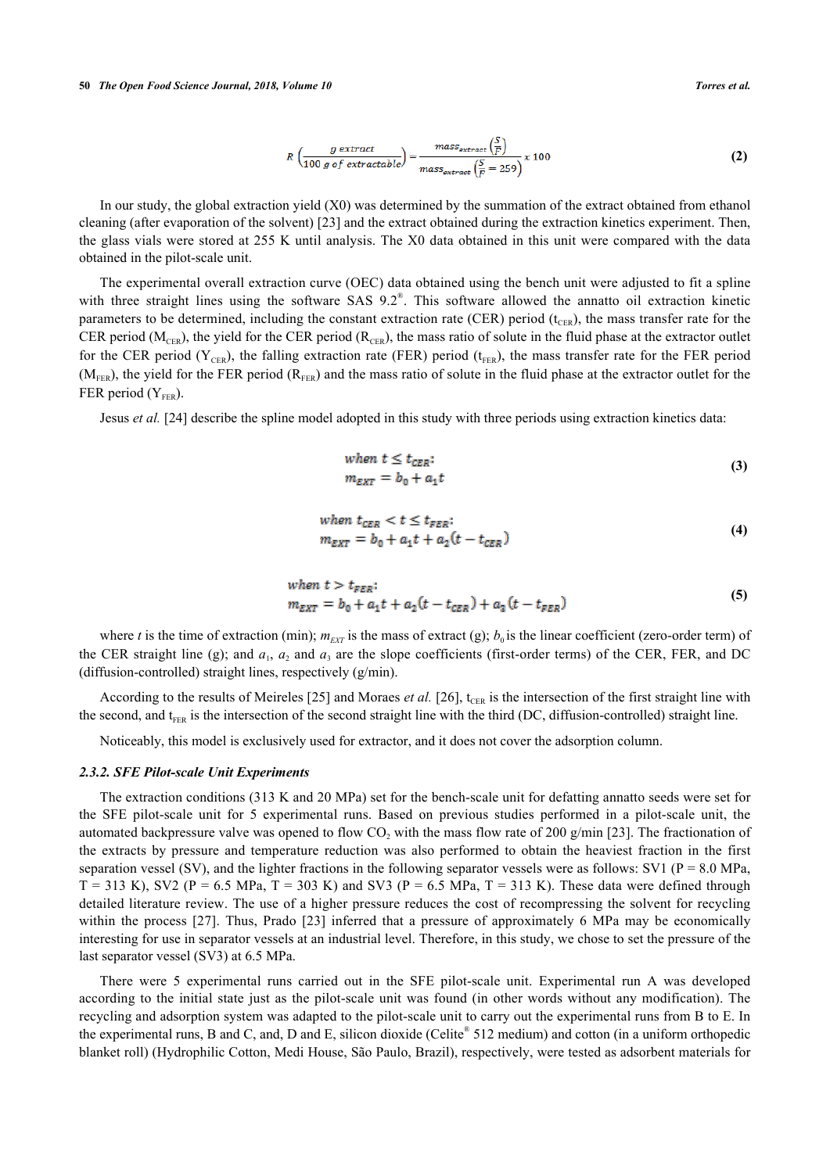$$
R\left(\frac{g \text{ extract}}{100 \text{ g of extractable}}\right) = \frac{mass_{\text{extract}}\left(\frac{S}{F}\right)}{mass_{\text{extract}}\left(\frac{S}{F} = 259\right)} \times 100\tag{2}
$$

In our study, the global extraction yield (X0) was determined by the summation of the extract obtained from ethanol cleaning (after evaporation of the solvent) [\[23](#page-14-18)] and the extract obtained during the extraction kinetics experiment. Then, the glass vials were stored at 255 K until analysis. The X0 data obtained in this unit were compared with the data obtained in the pilot-scale unit.

The experimental overall extraction curve (OEC) data obtained using the bench unit were adjusted to fit a spline with three straight lines using the software SAS 9.2<sup>®</sup>. This software allowed the annatto oil extraction kinetic parameters to be determined, including the constant extraction rate (CER) period ( $t_{CER}$ ), the mass transfer rate for the CER period ( $M_{CER}$ ), the yield for the CER period ( $R_{CER}$ ), the mass ratio of solute in the fluid phase at the extractor outlet for the CER period ( $Y_{CER}$ ), the falling extraction rate (FER) period ( $t_{FER}$ ), the mass transfer rate for the FER period  $(M<sub>FER</sub>)$ , the yield for the FER period  $(R<sub>FER</sub>)$  and the mass ratio of solute in the fluid phase at the extractor outlet for the FER period  $(Y_{FER})$ .

Jesus *et al.* [\[24](#page-14-19)] describe the spline model adopted in this study with three periods using extraction kinetics data:

when 
$$
t \leq t_{CER}
$$
:  
\n
$$
m_{EXT} = b_0 + a_1 t \tag{3}
$$

when 
$$
t_{CER} < t \leq t_{FER};
$$
\n
$$
m_{EXT} = b_0 + a_1 t + a_2 (t - t_{CER})
$$
\n
$$
\tag{4}
$$

when 
$$
t > t_{FER}
$$
:  
\n
$$
m_{EXT} = b_0 + a_1t + a_2(t - t_{CER}) + a_3(t - t_{FER})
$$
\n(5)

where *t* is the time of extraction (min);  $m_{EXT}$  is the mass of extract (g);  $b<sub>0</sub>$  is the linear coefficient (zero-order term) of the CER straight line (g); and  $a_1$ ,  $a_2$  and  $a_3$  are the slope coefficients (first-order terms) of the CER, FER, and DC (diffusion-controlled) straight lines, respectively (g/min).

According to the results of Meireles [[25\]](#page-15-0) and Moraes *et al.* [\[26](#page-15-1)],  $t_{CER}$  is the intersection of the first straight line with the second, and t<sub>FER</sub> is the intersection of the second straight line with the third (DC, diffusion-controlled) straight line.

Noticeably, this model is exclusively used for extractor, and it does not cover the adsorption column.

#### *2.3.2. SFE Pilot-scale Unit Experiments*

The extraction conditions (313 K and 20 MPa) set for the bench-scale unit for defatting annatto seeds were set for the SFE pilot-scale unit for 5 experimental runs. Based on previous studies performed in a pilot-scale unit, the automated backpressure valve was opened to flow  $CO_2$  with the mass flow rate of 200 g/min [[23\]](#page-14-18). The fractionation of the extracts by pressure and temperature reduction was also performed to obtain the heaviest fraction in the first separation vessel (SV), and the lighter fractions in the following separator vessels were as follows: SV1 ( $P = 8.0$  MPa,  $T = 313$  K), SV2 (P = 6.5 MPa, T = 303 K) and SV3 (P = 6.5 MPa, T = 313 K). These data were defined through detailed literature review. The use of a higher pressure reduces the cost of recompressing the solvent for recycling withinthe process [[27\]](#page-15-2). Thus, Prado [\[23](#page-14-18)] inferred that a pressure of approximately 6 MPa may be economically interesting for use in separator vessels at an industrial level. Therefore, in this study, we chose to set the pressure of the last separator vessel (SV3) at 6.5 MPa.

There were 5 experimental runs carried out in the SFE pilot-scale unit. Experimental run A was developed according to the initial state just as the pilot-scale unit was found (in other words without any modification). The recycling and adsorption system was adapted to the pilot-scale unit to carry out the experimental runs from B to E. In the experimental runs, B and C, and, D and E, silicon dioxide (Celite® 512 medium) and cotton (in a uniform orthopedic blanket roll) (Hydrophilic Cotton, Medi House, São Paulo, Brazil), respectively, were tested as adsorbent materials for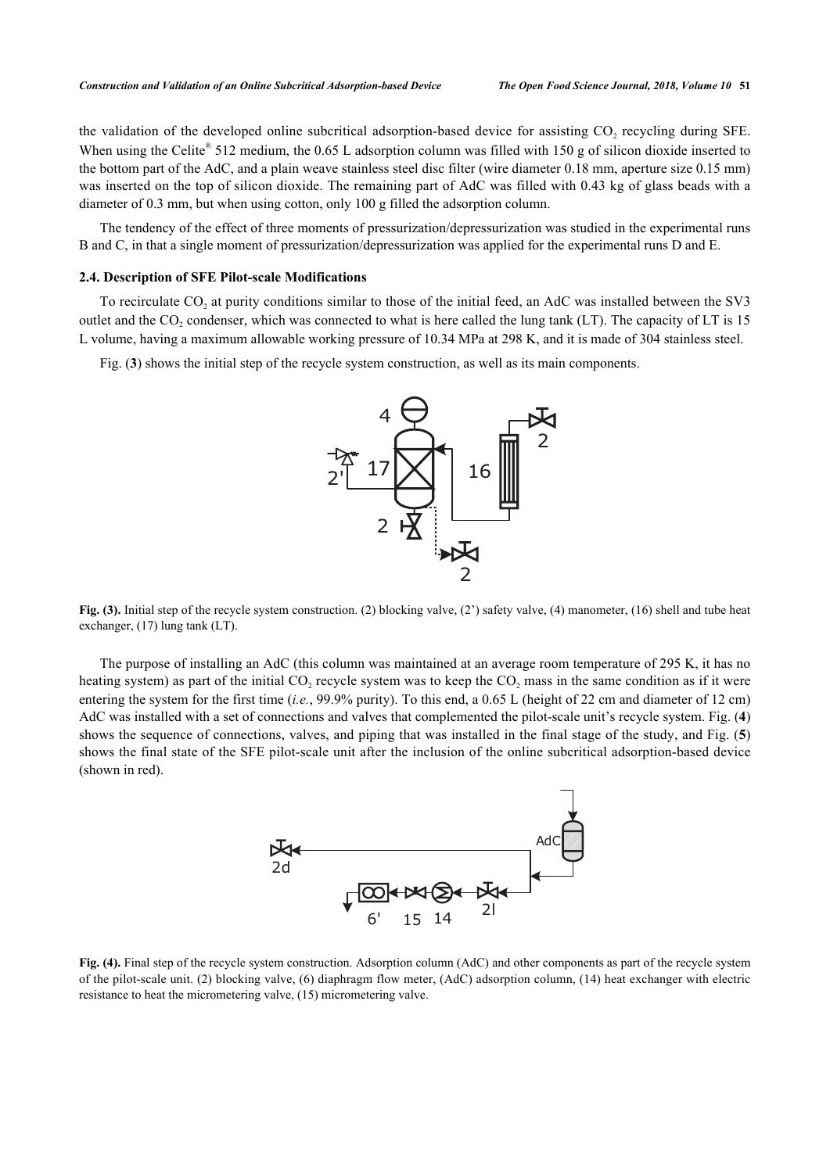the validation of the developed online subcritical adsorption-based device for assisting  $CO_2$  recycling during SFE. When using the Celite® 512 medium, the 0.65 L adsorption column was filled with 150 g of silicon dioxide inserted to the bottom part of the AdC, and a plain weave stainless steel disc filter (wire diameter 0.18 mm, aperture size 0.15 mm) was inserted on the top of silicon dioxide. The remaining part of AdC was filled with 0.43 kg of glass beads with a diameter of 0.3 mm, but when using cotton, only 100 g filled the adsorption column.

The tendency of the effect of three moments of pressurization/depressurization was studied in the experimental runs B and C, in that a single moment of pressurization/depressurization was applied for the experimental runs D and E.

# **2.4. Description of SFE Pilot-scale Modifications**

To recirculate  $CO_2$  at purity conditions similar to those of the initial feed, an AdC was installed between the SV3 outlet and the  $CO_2$  condenser, which was connected to what is here called the lung tank (LT). The capacity of LT is 15 L volume, having a maximum allowable working pressure of 10.34 MPa at 298 K, and it is made of 304 stainless steel.

<span id="page-5-0"></span>Fig. (**[3](#page-5-0)**) shows the initial step of the recycle system construction, as well as its main components.



**Fig. (3).** Initial step of the recycle system construction. (2) blocking valve, (2') safety valve, (4) manometer, (16) shell and tube heat exchanger, (17) lung tank (LT).

<span id="page-5-1"></span>The purpose of installing an AdC (this column was maintained at an average room temperature of 295 K, it has no heating system) as part of the initial  $CO_2$  recycle system was to keep the  $CO_2$  mass in the same condition as if it were entering the system for the first time (*i.e.*, 99.9% purity). To this end, a 0.65 L (height of 22 cm and diameter of 12 cm) AdC was installed with a set of connections and valves that complemented the pilot-scale unit's recycle system. Fig. (**[4](#page-5-1)**) shows the sequence of connections, valves, and piping that was installed in the final stage of the study, and Fig. (**[5](#page-5-2)**) shows the final state of the SFE pilot-scale unit after the inclusion of the online subcritical adsorption-based device (shown in red).



<span id="page-5-2"></span>**Fig. (4).** Final step of the recycle system construction. Adsorption column (AdC) and other components as part of the recycle system of the pilot-scale unit. (2) blocking valve, (6) diaphragm flow meter, (AdC) adsorption column, (14) heat exchanger with electric resistance to heat the micrometering valve, (15) micrometering valve.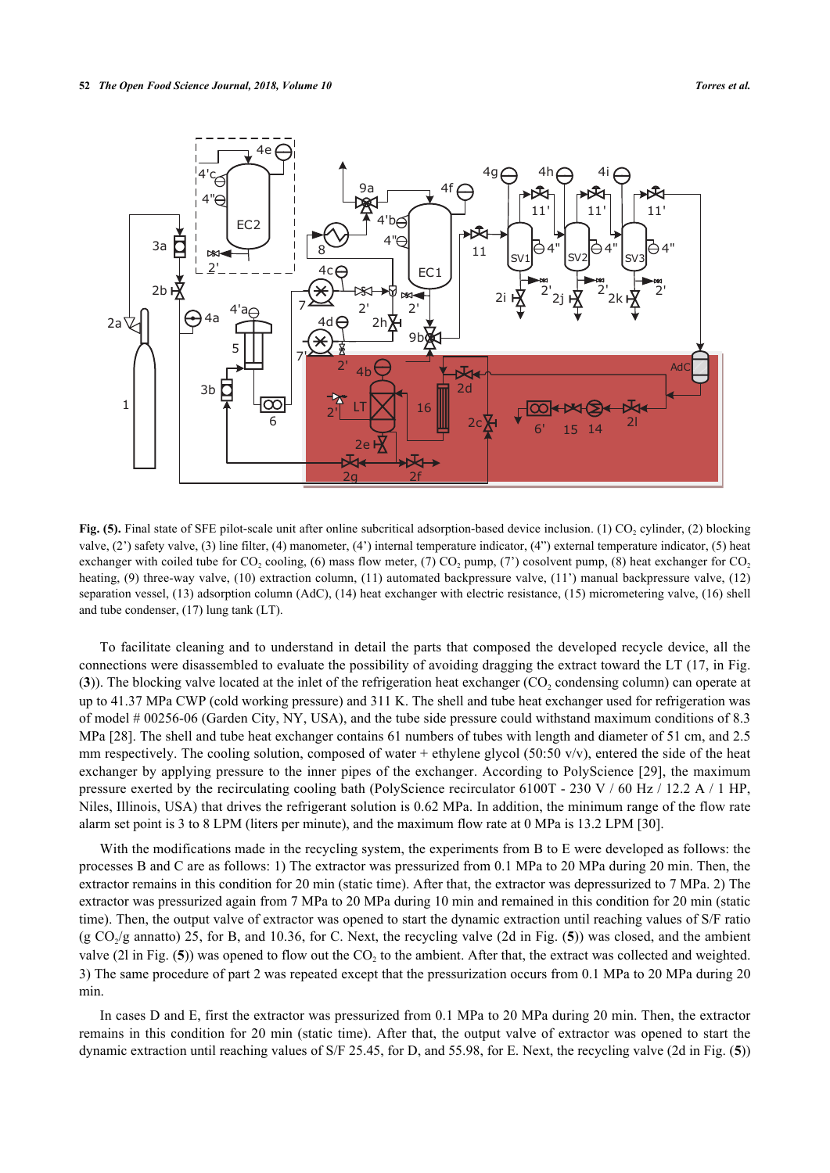

Fig. (5). Final state of SFE pilot-scale unit after online subcritical adsorption-based device inclusion. (1) CO<sub>2</sub> cylinder, (2) blocking valve, (2') safety valve, (3) line filter, (4) manometer, (4') internal temperature indicator, (4") external temperature indicator, (5) heat exchanger with coiled tube for CO<sub>2</sub> cooling, (6) mass flow meter, (7) CO<sub>2</sub> pump, (7) cosolvent pump, (8) heat exchanger for CO<sub>2</sub> heating, (9) three-way valve, (10) extraction column, (11) automated backpressure valve, (11') manual backpressure valve, (12) separation vessel, (13) adsorption column (AdC), (14) heat exchanger with electric resistance, (15) micrometering valve, (16) shell and tube condenser, (17) lung tank (LT).

To facilitate cleaning and to understand in detail the parts that composed the developed recycle device, all the connections were disassembled to evaluate the possibility of avoiding dragging the extract toward the LT (17, in Fig.  $(3)$  $(3)$  $(3)$ ). The blocking valve located at the inlet of the refrigeration heat exchanger  $(CO_2$  condensing column) can operate at up to 41.37 MPa CWP (cold working pressure) and 311 K. The shell and tube heat exchanger used for refrigeration was of model # 00256-06 (Garden City, NY, USA), and the tube side pressure could withstand maximum conditions of 8.3 MPa [[28\]](#page-15-3). The shell and tube heat exchanger contains 61 numbers of tubes with length and diameter of 51 cm, and 2.5 mm respectively. The cooling solution, composed of water + ethylene glycol (50:50 v/v), entered the side of the heat exchanger by applying pressure to the inner pipes of the exchanger. According to PolyScience [[29\]](#page-15-4), the maximum pressure exerted by the recirculating cooling bath (PolyScience recirculator 6100T - 230 V / 60 Hz / 12.2 A / 1 HP, Niles, Illinois, USA) that drives the refrigerant solution is 0.62 MPa. In addition, the minimum range of the flow rate alarm set point is 3 to 8 LPM (liters per minute), and the maximum flow rate at 0 MPa is 13.2 LPM [[30\]](#page-15-5).

With the modifications made in the recycling system, the experiments from B to E were developed as follows: the processes B and C are as follows: 1) The extractor was pressurized from 0.1 MPa to 20 MPa during 20 min. Then, the extractor remains in this condition for 20 min (static time). After that, the extractor was depressurized to 7 MPa. 2) The extractor was pressurized again from 7 MPa to 20 MPa during 10 min and remained in this condition for 20 min (static time). Then, the output valve of extractor was opened to start the dynamic extraction until reaching values of S/F ratio  $(g \text{ CO}_2/g \text{ annatto})$  2[5](#page-5-2), for B, and 10.36, for C. Next, the recycling valve (2d in Fig. (5)) was closed, and the ambient valve (2l in Fig.  $(5)$  $(5)$  $(5)$ ) was opened to flow out the  $CO<sub>2</sub>$  to the ambient. After that, the extract was collected and weighted. 3) The same procedure of part 2 was repeated except that the pressurization occurs from 0.1 MPa to 20 MPa during 20 min.

In cases D and E, first the extractor was pressurized from 0.1 MPa to 20 MPa during 20 min. Then, the extractor remains in this condition for 20 min (static time). After that, the output valve of extractor was opened to start the dynamic extraction until reaching values of S/F 25.45, for D, and 55.98, for E. Next, the recycling valve (2d in Fig. (**[5](#page-5-2)**))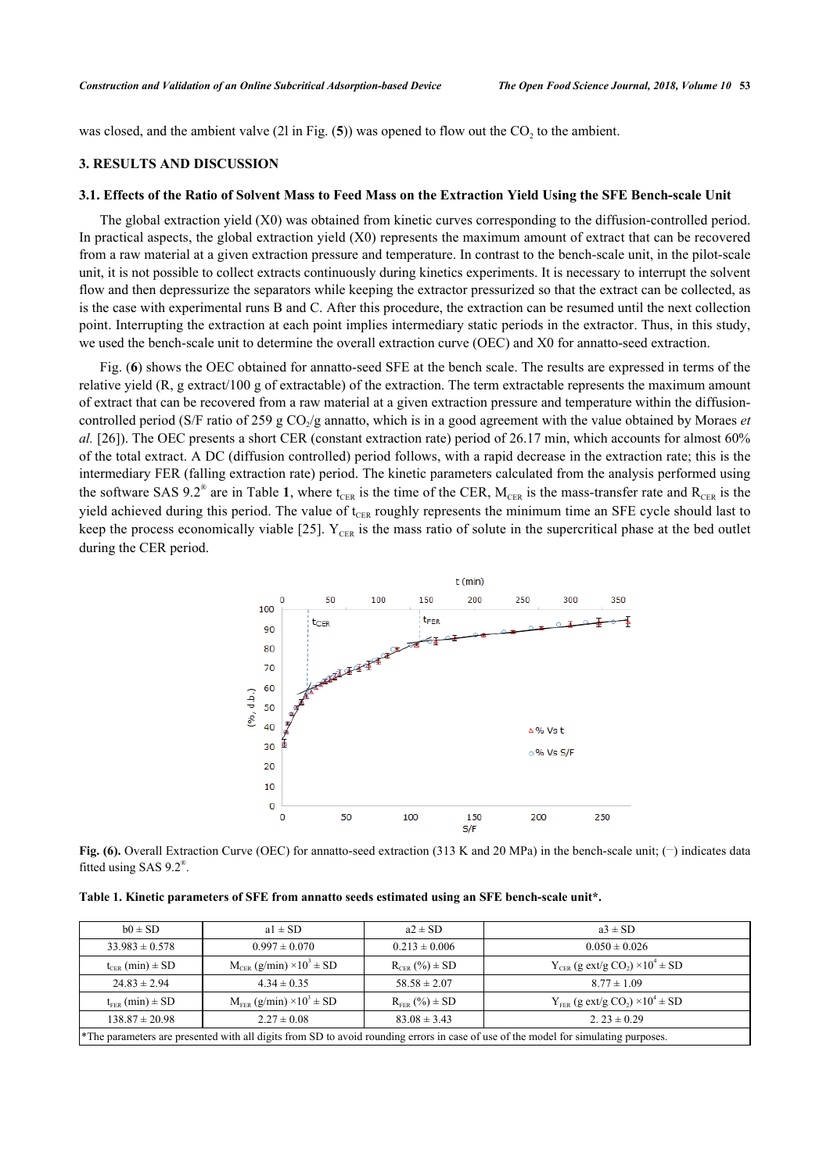was closed, and the ambient valve  $(2l \text{ in Fig. (5)})$  $(2l \text{ in Fig. (5)})$  $(2l \text{ in Fig. (5)})$  was opened to flow out the  $CO_2$  to the ambient.

#### **3. RESULTS AND DISCUSSION**

## **3.1. Effects of the Ratio of Solvent Mass to Feed Mass on the Extraction Yield Using the SFE Bench-scale Unit**

The global extraction yield (X0) was obtained from kinetic curves corresponding to the diffusion-controlled period. In practical aspects, the global extraction yield (X0) represents the maximum amount of extract that can be recovered from a raw material at a given extraction pressure and temperature. In contrast to the bench-scale unit, in the pilot-scale unit, it is not possible to collect extracts continuously during kinetics experiments. It is necessary to interrupt the solvent flow and then depressurize the separators while keeping the extractor pressurized so that the extract can be collected, as is the case with experimental runs B and C. After this procedure, the extraction can be resumed until the next collection point. Interrupting the extraction at each point implies intermediary static periods in the extractor. Thus, in this study, we used the bench-scale unit to determine the overall extraction curve (OEC) and X0 for annatto-seed extraction.

<span id="page-7-0"></span>Fig. (**[6](#page-7-0)**) shows the OEC obtained for annatto-seed SFE at the bench scale. The results are expressed in terms of the relative yield (R, g extract/100 g of extractable) of the extraction. The term extractable represents the maximum amount of extract that can be recovered from a raw material at a given extraction pressure and temperature within the diffusioncontrolled period (S/F ratio of 259 g CO<sub>2</sub>/g annatto, which is in a good agreement with the value obtained by Moraes *et al.* [[26](#page-15-1)]). The OEC presents a short CER (constant extraction rate) period of 26.17 min, which accounts for almost 60% of the total extract. A DC (diffusion controlled) period follows, with a rapid decrease in the extraction rate; this is the intermediary FER (falling extraction rate) period. The kinetic parameters calculated from the analysis performed using the software SAS 9.2<sup>®</sup> are in Table [1](#page-7-1), where t<sub>CER</sub> is the time of the CER,  $M_{CER}$  is the mass-transfer rate and  $R_{CER}$  is the yield achieved during this period. The value of  $t_{CFR}$  roughly represents the minimum time an SFE cycle should last to keep the process economically viable [[25](#page-15-0)].  $Y_{CFR}$  is the mass ratio of solute in the supercritical phase at the bed outlet during the CER period.



**Fig. (6).** Overall Extraction Curve (OEC) for annatto-seed extraction (313 K and 20 MPa) in the bench-scale unit; (-) indicates data fitted using SAS  $9.2^{\circ}$ .

<span id="page-7-1"></span>**Table 1. Kinetic parameters of SFE from annatto seeds estimated using an SFE bench-scale unit\*.**

| $b0 \pm SD$                                                                                                                                                      | $a1 \pm SD$                            | $a2 \pm SD$            | $a3 \pm SD$                                                 |  |  |  |  |  |
|------------------------------------------------------------------------------------------------------------------------------------------------------------------|----------------------------------------|------------------------|-------------------------------------------------------------|--|--|--|--|--|
| $33.983 \pm 0.578$                                                                                                                                               | $0.997 \pm 0.070$                      | $0.213 \pm 0.006$      | $0.050 \pm 0.026$                                           |  |  |  |  |  |
| $t_{CFR}$ (min) $\pm$ SD                                                                                                                                         | $M_{CER}$ (g/min) $\times 10^3 \pm SD$ | $R_{CFR}$ (%) $\pm$ SD | $Y_{CER}$ (g ext/g CO <sub>2</sub> ) × 10 <sup>4</sup> ± SD |  |  |  |  |  |
| $24.83 \pm 2.94$                                                                                                                                                 | $4.34 \pm 0.35$                        | $58.58 \pm 2.07$       | $8.77 \pm 1.09$                                             |  |  |  |  |  |
| $M_{FER} (g/min) \times 10^3 \pm SD$<br>$Y_{FER}$ (g ext/g CO <sub>2</sub> ) × 10 <sup>4</sup> ± SD<br>$R_{FER}$ (%) $\pm$ SD<br>$t_{\text{FER}}$ (min) $\pm$ SD |                                        |                        |                                                             |  |  |  |  |  |
| $138.87 \pm 20.98$<br>$83.08 \pm 3.43$<br>2. $23 \pm 0.29$<br>$2.27 \pm 0.08$                                                                                    |                                        |                        |                                                             |  |  |  |  |  |
| *The parameters are presented with all digits from SD to avoid rounding errors in case of use of the model for simulating purposes.                              |                                        |                        |                                                             |  |  |  |  |  |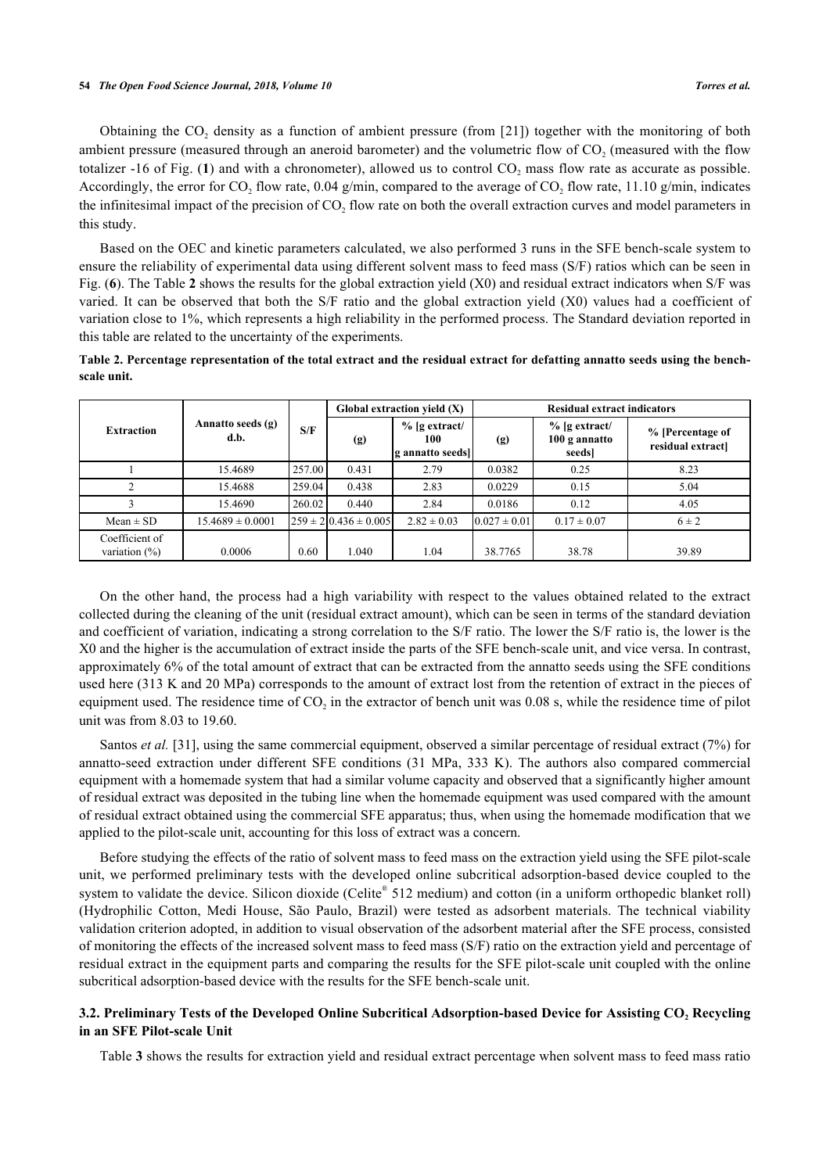Obtaining the  $CO_2$  density as a function of ambient pressure (from [[21\]](#page-14-16)) together with the monitoring of both ambient pressure (measured through an aneroid barometer) and the volumetric flow of  $CO_2$  (measured with the flow totalizer -[1](#page-2-0)6 of Fig. (1) and with a chronometer), allowed us to control  $CO_2$  mass flow rate as accurate as possible. Accordingly, the error for  $CO_2$  flow rate, 0.04 g/min, compared to the average of  $CO_2$  flow rate, 11.10 g/min, indicates the infinitesimal impact of the precision of  $CO<sub>2</sub>$  flow rate on both the overall extraction curves and model parameters in this study.

Based on the OEC and kinetic parameters calculated, we also performed 3 runs in the SFE bench-scale system to ensure the reliability of experimental data using different solvent mass to feed mass (S/F) ratios which can be seen in Fig. (**[6](#page-7-0)**). The Table **[2](#page-8-0)** shows the results for the global extraction yield (X0) and residual extract indicators when S/F was varied. It can be observed that both the S/F ratio and the global extraction yield (X0) values had a coefficient of variation close to 1%, which represents a high reliability in the performed process. The Standard deviation reported in this table are related to the uncertainty of the experiments.

<span id="page-8-0"></span>

|             | Table 2. Percentage representation of the total extract and the residual extract for defatting annatto seeds using the bench- |  |  |  |  |
|-------------|-------------------------------------------------------------------------------------------------------------------------------|--|--|--|--|
| scale unit. |                                                                                                                               |  |  |  |  |

|                                    |                           |        |                             | Global extraction yield $(X)$             | <b>Residual extract indicators</b> |                                            |                                       |  |
|------------------------------------|---------------------------|--------|-----------------------------|-------------------------------------------|------------------------------------|--------------------------------------------|---------------------------------------|--|
| <b>Extraction</b>                  | Annatto seeds (g)<br>d.b. | S/F    | (g)                         | $%$ [g extract/<br>100<br>g annatto seeds | (g)                                | $%$ [g extract/<br>100 g annatto<br>seeds] | % [Percentage of<br>residual extract] |  |
|                                    | 15.4689                   | 257.00 | 0.431                       | 2.79                                      | 0.0382                             | 0.25                                       | 8.23                                  |  |
|                                    | 15.4688                   | 259.04 | 0.438                       | 2.83                                      | 0.0229                             | 0.15                                       | 5.04                                  |  |
|                                    | 15.4690                   | 260.02 | 0.440                       | 2.84                                      | 0.0186                             | 0.12                                       | 4.05                                  |  |
| $Mean \pm SD$                      | $15.4689 \pm 0.0001$      |        | $259 \pm 210.436 \pm 0.005$ | $2.82 \pm 0.03$                           | $0.027 \pm 0.01$                   | $0.17 \pm 0.07$                            | $6 \pm 2$                             |  |
| Coefficient of<br>variation $(\%)$ | 0.0006                    | 0.60   | 1.040                       | 1.04                                      | 38.7765                            | 38.78                                      | 39.89                                 |  |

On the other hand, the process had a high variability with respect to the values obtained related to the extract collected during the cleaning of the unit (residual extract amount), which can be seen in terms of the standard deviation and coefficient of variation, indicating a strong correlation to the S/F ratio. The lower the S/F ratio is, the lower is the X0 and the higher is the accumulation of extract inside the parts of the SFE bench-scale unit, and vice versa. In contrast, approximately 6% of the total amount of extract that can be extracted from the annatto seeds using the SFE conditions used here (313 K and 20 MPa) corresponds to the amount of extract lost from the retention of extract in the pieces of equipment used. The residence time of  $CO_2$  in the extractor of bench unit was 0.08 s, while the residence time of pilot unit was from 8.03 to 19.60.

Santos *et al.* [\[31](#page-15-6)], using the same commercial equipment, observed a similar percentage of residual extract (7%) for annatto-seed extraction under different SFE conditions (31 MPa, 333 K). The authors also compared commercial equipment with a homemade system that had a similar volume capacity and observed that a significantly higher amount of residual extract was deposited in the tubing line when the homemade equipment was used compared with the amount of residual extract obtained using the commercial SFE apparatus; thus, when using the homemade modification that we applied to the pilot-scale unit, accounting for this loss of extract was a concern.

Before studying the effects of the ratio of solvent mass to feed mass on the extraction yield using the SFE pilot-scale unit, we performed preliminary tests with the developed online subcritical adsorption-based device coupled to the system to validate the device. Silicon dioxide (Celite® 512 medium) and cotton (in a uniform orthopedic blanket roll) (Hydrophilic Cotton, Medi House, São Paulo, Brazil) were tested as adsorbent materials. The technical viability validation criterion adopted, in addition to visual observation of the adsorbent material after the SFE process, consisted of monitoring the effects of the increased solvent mass to feed mass (S/F) ratio on the extraction yield and percentage of residual extract in the equipment parts and comparing the results for the SFE pilot-scale unit coupled with the online subcritical adsorption-based device with the results for the SFE bench-scale unit.

# **3.2. Preliminary Tests of the Developed Online Subcritical Adsorption-based Device for Assisting CO<sup>2</sup> Recycling in an SFE Pilot-scale Unit**

Table **[3](#page-9-0)** shows the results for extraction yield and residual extract percentage when solvent mass to feed mass ratio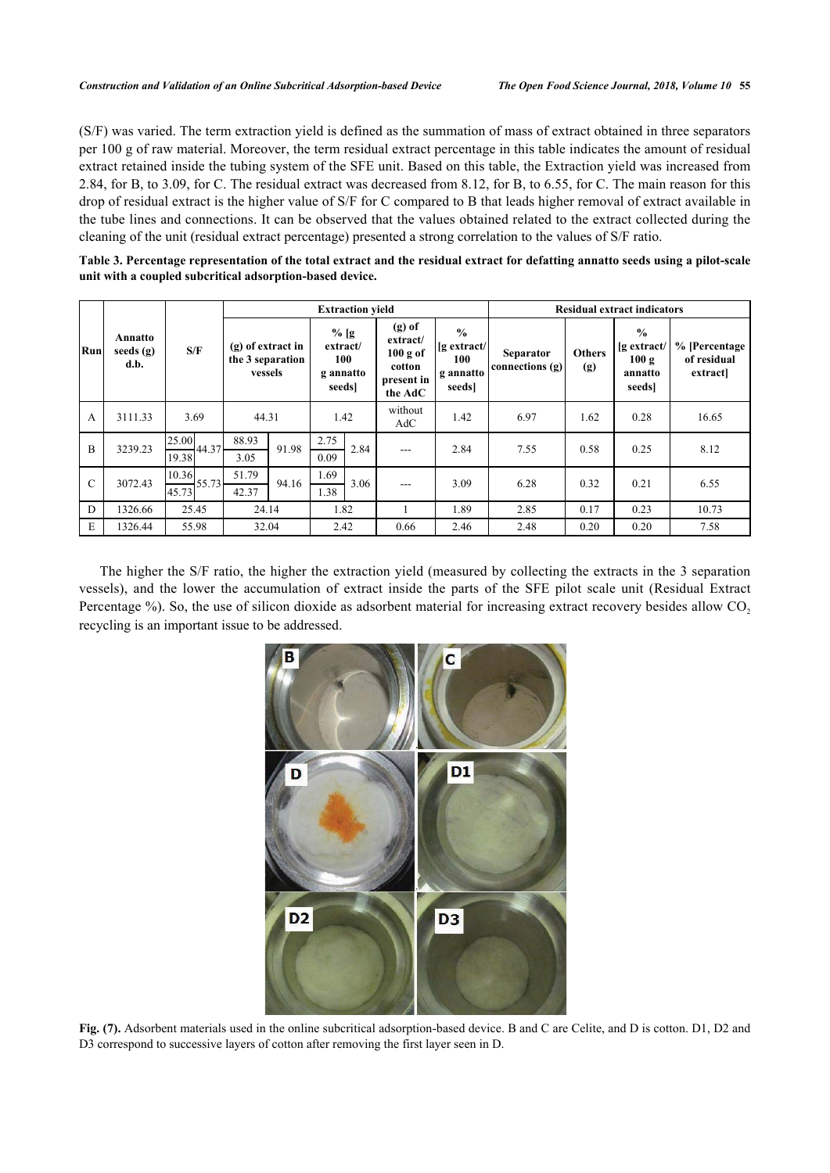(S/F) was varied. The term extraction yield is defined as the summation of mass of extract obtained in three separators per 100 g of raw material. Moreover, the term residual extract percentage in this table indicates the amount of residual extract retained inside the tubing system of the SFE unit. Based on this table, the Extraction yield was increased from 2.84, for B, to 3.09, for C. The residual extract was decreased from 8.12, for B, to 6.55, for C. The main reason for this drop of residual extract is the higher value of S/F for C compared to B that leads higher removal of extract available in the tube lines and connections. It can be observed that the values obtained related to the extract collected during the cleaning of the unit (residual extract percentage) presented a strong correlation to the values of S/F ratio.

<span id="page-9-0"></span>**Table 3. Percentage representation of the total extract and the residual extract for defatting annatto seeds using a pilot-scale unit with a coupled subcritical adsorption-based device.**

|               |                                | S/F                        | <b>Extraction yield</b>                            |       |                                                 |      |                                                                     |                                                          | <b>Residual extract indicators</b>  |                      |                                                             |                                         |
|---------------|--------------------------------|----------------------------|----------------------------------------------------|-------|-------------------------------------------------|------|---------------------------------------------------------------------|----------------------------------------------------------|-------------------------------------|----------------------|-------------------------------------------------------------|-----------------------------------------|
| Run           | Annatto<br>seeds $(g)$<br>d.b. |                            | $(g)$ of extract in<br>the 3 separation<br>vessels |       | $%$ [g<br>extract/<br>100<br>g annatto<br>seeds |      | $(g)$ of<br>extract/<br>100 g of<br>cotton<br>present in<br>the AdC | $\frac{6}{9}$<br>[g extract/<br>100<br>gannatto<br>seeds | <b>Separator</b><br>connections (g) | <b>Others</b><br>(g) | $\frac{6}{9}$<br>$[g$ extract/<br>100 g<br>annatto<br>seeds | % [Percentage<br>of residual<br>extract |
| A             | 3111.33                        | 3.69                       | 44.31                                              |       | 1.42                                            |      | without<br>AdC                                                      | 1.42                                                     | 6.97                                | 1.62                 | 0.28                                                        | 16.65                                   |
| B             | 3239.23                        | 25.00<br>$-44.37$<br>19.38 | 88.93<br>3.05                                      | 91.98 | 2.75<br>0.09                                    | 2.84 | ---                                                                 | 2.84                                                     | 7.55                                | 0.58                 | 0.25                                                        | 8.12                                    |
| $\mathcal{C}$ | 3072.43                        | 10.36<br>55.73<br>45.73    | 51.79<br>42.37                                     | 94.16 | 1.69<br>1.38                                    | 3.06 | ---                                                                 | 3.09                                                     | 6.28                                | 0.32                 | 0.21                                                        | 6.55                                    |
| D             | 1326.66                        | 25.45                      | 24.14                                              |       | 1.82                                            |      |                                                                     | 1.89                                                     | 2.85                                | 0.17                 | 0.23                                                        | 10.73                                   |
| E             | 1326.44                        | 55.98                      | 32.04                                              |       | 2.42                                            |      | 0.66                                                                | 2.46                                                     | 2.48                                | 0.20                 | 0.20                                                        | 7.58                                    |

The higher the S/F ratio, the higher the extraction yield (measured by collecting the extracts in the 3 separation vessels), and the lower the accumulation of extract inside the parts of the SFE pilot scale unit (Residual Extract Percentage %). So, the use of silicon dioxide as adsorbent material for increasing extract recovery besides allow CO<sub>2</sub> recycling is an important issue to be addressed.

<span id="page-9-1"></span>

**Fig. (7).** Adsorbent materials used in the online subcritical adsorption-based device. B and C are Celite, and D is cotton. D1, D2 and D3 correspond to successive layers of cotton after removing the first layer seen in D.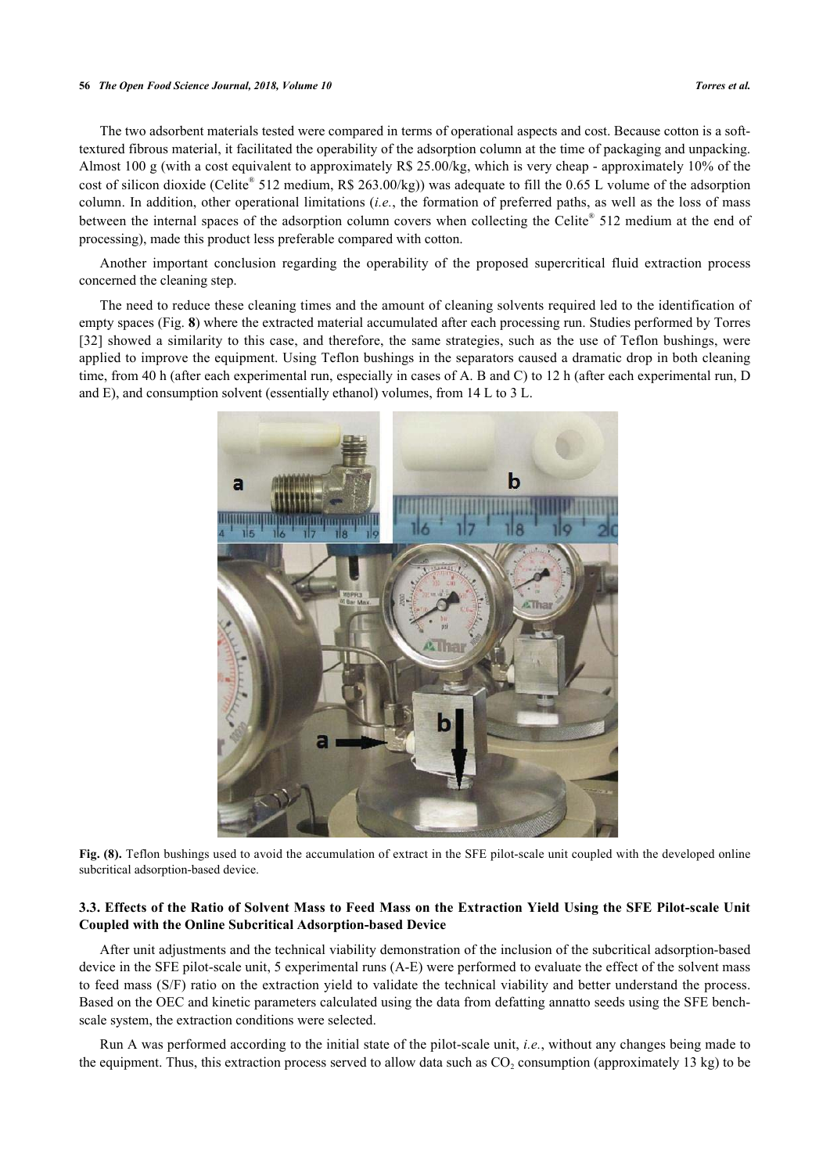#### **56** *The Open Food Science Journal, 2018, Volume 10 Torres et al.*

The two adsorbent materials tested were compared in terms of operational aspects and cost. Because cotton is a softtextured fibrous material, it facilitated the operability of the adsorption column at the time of packaging and unpacking. Almost 100 g (with a cost equivalent to approximately R\$ 25.00/kg, which is very cheap - approximately 10% of the cost of silicon dioxide (Celite® 512 medium, R\$ 263.00/kg)) was adequate to fill the 0.65 L volume of the adsorption column. In addition, other operational limitations (*i.e.*, the formation of preferred paths, as well as the loss of mass between the internal spaces of the adsorption column covers when collecting the Celite® 512 medium at the end of processing), made this product less preferable compared with cotton.

Another important conclusion regarding the operability of the proposed supercritical fluid extraction process concerned the cleaning step.

<span id="page-10-0"></span>The need to reduce these cleaning times and the amount of cleaning solvents required led to the identification of empty spaces (Fig. **[8](#page-10-0)**) where the extracted material accumulated after each processing run. Studies performed by Torres [\[32](#page-15-7)] showed a similarity to this case, and therefore, the same strategies, such as the use of Teflon bushings, were applied to improve the equipment. Using Teflon bushings in the separators caused a dramatic drop in both cleaning time, from 40 h (after each experimental run, especially in cases of A. B and C) to 12 h (after each experimental run, D and E), and consumption solvent (essentially ethanol) volumes, from 14 L to 3 L.



**Fig. (8).** Teflon bushings used to avoid the accumulation of extract in the SFE pilot-scale unit coupled with the developed online subcritical adsorption-based device.

# **3.3. Effects of the Ratio of Solvent Mass to Feed Mass on the Extraction Yield Using the SFE Pilot-scale Unit Coupled with the Online Subcritical Adsorption-based Device**

After unit adjustments and the technical viability demonstration of the inclusion of the subcritical adsorption-based device in the SFE pilot-scale unit, 5 experimental runs (A-E) were performed to evaluate the effect of the solvent mass to feed mass (S/F) ratio on the extraction yield to validate the technical viability and better understand the process. Based on the OEC and kinetic parameters calculated using the data from defatting annatto seeds using the SFE benchscale system, the extraction conditions were selected.

Run A was performed according to the initial state of the pilot-scale unit, *i.e.*, without any changes being made to the equipment. Thus, this extraction process served to allow data such as  $CO_2$  consumption (approximately 13 kg) to be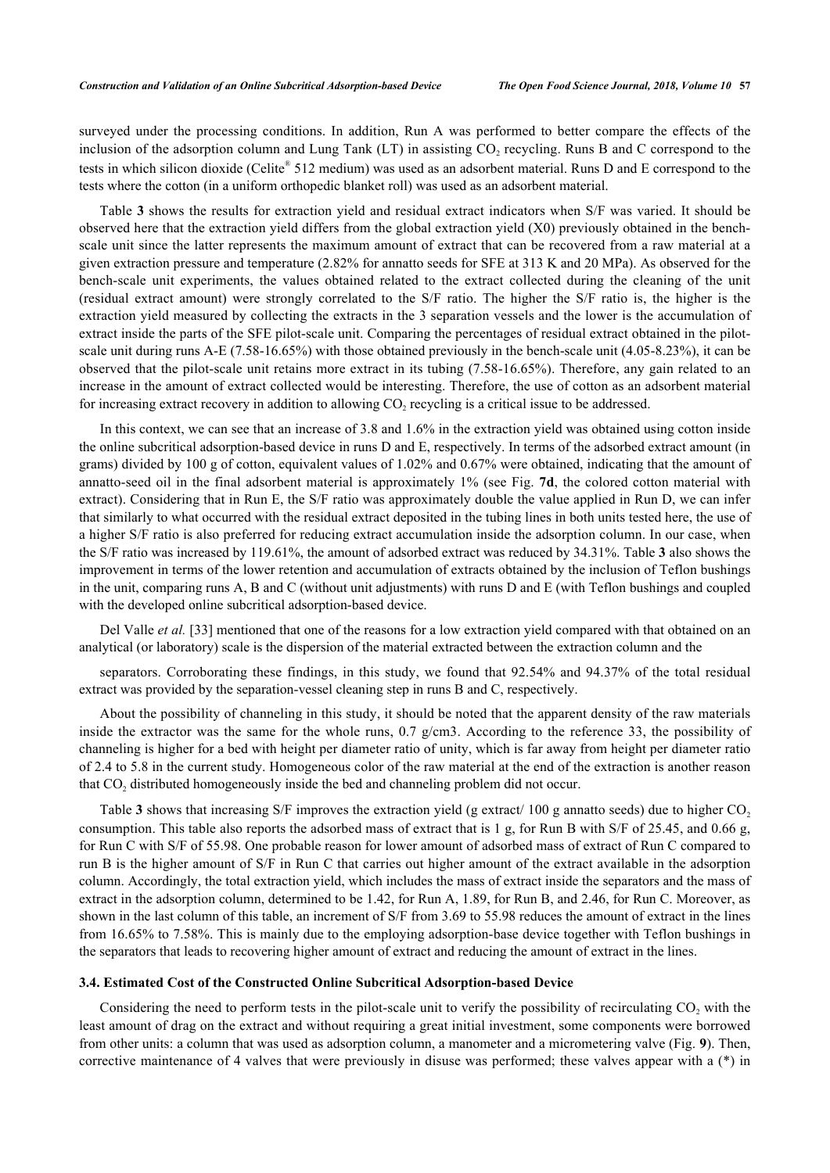surveyed under the processing conditions. In addition, Run A was performed to better compare the effects of the inclusion of the adsorption column and Lung Tank (LT) in assisting  $CO_2$  recycling. Runs B and C correspond to the tests in which silicon dioxide (Celite® 512 medium) was used as an adsorbent material. Runs D and E correspond to the tests where the cotton (in a uniform orthopedic blanket roll) was used as an adsorbent material.

Table **[3](#page-9-0)** shows the results for extraction yield and residual extract indicators when S/F was varied. It should be observed here that the extraction yield differs from the global extraction yield (X0) previously obtained in the benchscale unit since the latter represents the maximum amount of extract that can be recovered from a raw material at a given extraction pressure and temperature (2.82% for annatto seeds for SFE at 313 K and 20 MPa). As observed for the bench-scale unit experiments, the values obtained related to the extract collected during the cleaning of the unit (residual extract amount) were strongly correlated to the S/F ratio. The higher the S/F ratio is, the higher is the extraction yield measured by collecting the extracts in the 3 separation vessels and the lower is the accumulation of extract inside the parts of the SFE pilot-scale unit. Comparing the percentages of residual extract obtained in the pilotscale unit during runs A-E (7.58-16.65%) with those obtained previously in the bench-scale unit (4.05-8.23%), it can be observed that the pilot-scale unit retains more extract in its tubing (7.58-16.65%). Therefore, any gain related to an increase in the amount of extract collected would be interesting. Therefore, the use of cotton as an adsorbent material for increasing extract recovery in addition to allowing  $CO_2$  recycling is a critical issue to be addressed.

In this context, we can see that an increase of 3.8 and 1.6% in the extraction yield was obtained using cotton inside the online subcritical adsorption-based device in runs D and E, respectively. In terms of the adsorbed extract amount (in grams) divided by 100 g of cotton, equivalent values of 1.02% and 0.67% were obtained, indicating that the amount of annatto-seed oil in the final adsorbent material is approximately 1% (see Fig. **[7d](#page-9-1)**, the colored cotton material with extract). Considering that in Run E, the S/F ratio was approximately double the value applied in Run D, we can infer that similarly to what occurred with the residual extract deposited in the tubing lines in both units tested here, the use of a higher S/F ratio is also preferred for reducing extract accumulation inside the adsorption column. In our case, when the S/F ratio was increased by 119.61%, the amount of adsorbed extract was reduced by 34.31%. Table **[3](#page-9-0)** also shows the improvement in terms of the lower retention and accumulation of extracts obtained by the inclusion of Teflon bushings in the unit, comparing runs A, B and C (without unit adjustments) with runs D and E (with Teflon bushings and coupled with the developed online subcritical adsorption-based device.

Del Valle *et al.* [\[33](#page-15-8)] mentioned that one of the reasons for a low extraction yield compared with that obtained on an analytical (or laboratory) scale is the dispersion of the material extracted between the extraction column and the

separators. Corroborating these findings, in this study, we found that 92.54% and 94.37% of the total residual extract was provided by the separation-vessel cleaning step in runs B and C, respectively.

About the possibility of channeling in this study, it should be noted that the apparent density of the raw materials inside the extractor was the same for the whole runs, 0.7 g/cm3. According to the reference [33](#page-15-8), the possibility of channeling is higher for a bed with height per diameter ratio of unity, which is far away from height per diameter ratio of 2.4 to 5.8 in the current study. Homogeneous color of the raw material at the end of the extraction is another reason that  $CO<sub>2</sub>$  distributed homogeneously inside the bed and channeling problem did not occur.

Table **[3](#page-9-0)** shows that increasing S/F improves the extraction yield (g extract/ 100 g annatto seeds) due to higher  $CO<sub>2</sub>$ consumption. This table also reports the adsorbed mass of extract that is 1 g, for Run B with S/F of 25.45, and 0.66 g, for Run C with S/F of 55.98. One probable reason for lower amount of adsorbed mass of extract of Run C compared to run B is the higher amount of S/F in Run C that carries out higher amount of the extract available in the adsorption column. Accordingly, the total extraction yield, which includes the mass of extract inside the separators and the mass of extract in the adsorption column, determined to be 1.42, for Run A, 1.89, for Run B, and 2.46, for Run C. Moreover, as shown in the last column of this table, an increment of S/F from 3.69 to 55.98 reduces the amount of extract in the lines from 16.65% to 7.58%. This is mainly due to the employing adsorption-base device together with Teflon bushings in the separators that leads to recovering higher amount of extract and reducing the amount of extract in the lines.

# **3.4. Estimated Cost of the Constructed Online Subcritical Adsorption-based Device**

Considering the need to perform tests in the pilot-scale unit to verify the possibility of recirculating  $CO<sub>2</sub>$  with the least amount of drag on the extract and without requiring a great initial investment, some components were borrowed from other units: a column that was used as adsorption column, a manometer and a micrometering valve (Fig. **[9](#page-12-0)**). Then, corrective maintenance of 4 valves that were previously in disuse was performed; these valves appear with a (\*) in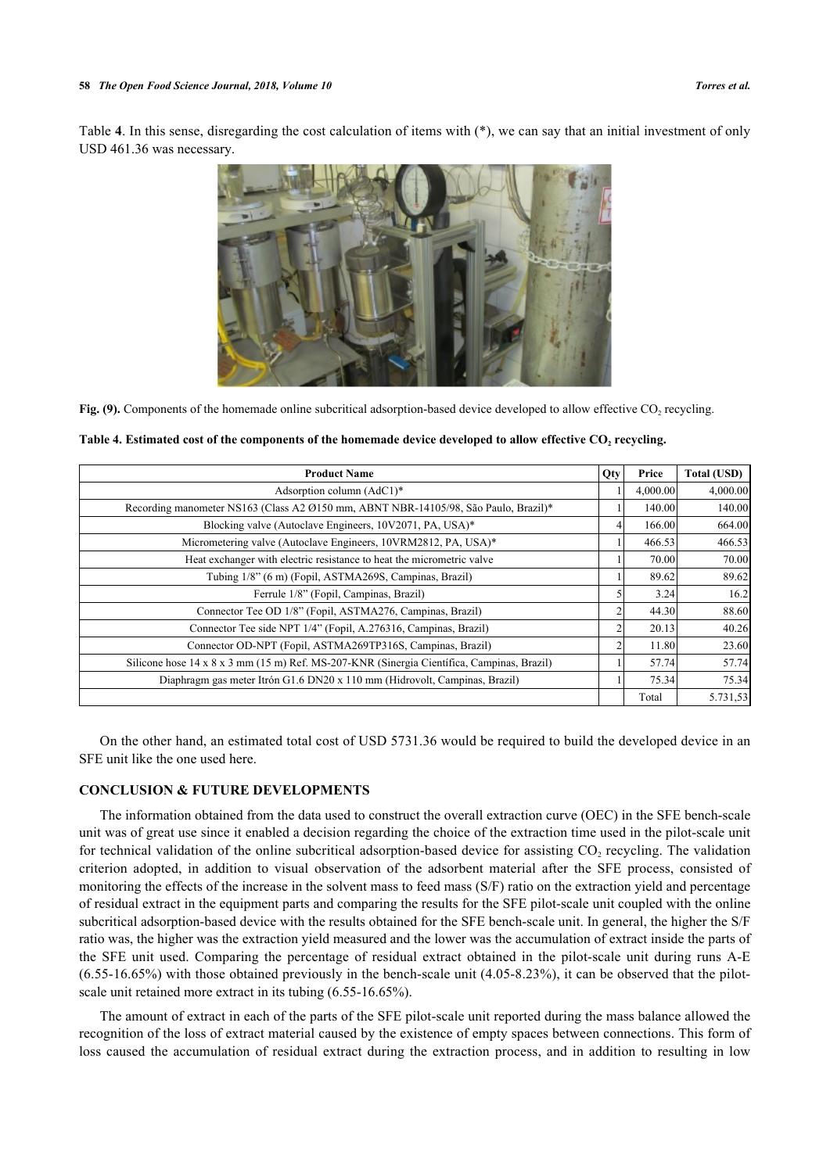<span id="page-12-0"></span>Table **[4](#page-12-1)**. In this sense, disregarding the cost calculation of items with (\*), we can say that an initial investment of only USD 461.36 was necessary.



Fig. (9). Components of the homemade online subcritical adsorption-based device developed to allow effective CO<sub>2</sub> recycling.

<span id="page-12-1"></span>

| <b>Product Name</b>                                                                        | Qty | Price    | Total (USD) |
|--------------------------------------------------------------------------------------------|-----|----------|-------------|
| Adsorption column $(AdC1)^*$                                                               |     | 4,000.00 | 4,000.00    |
| Recording manometer NS163 (Class A2 Ø150 mm, ABNT NBR-14105/98, São Paulo, Brazil)*        |     | 140.00   | 140.00      |
| Blocking valve (Autoclave Engineers, 10V2071, PA, USA)*                                    |     | 166.00   | 664.00      |
| Micrometering valve (Autoclave Engineers, 10VRM2812, PA, USA)*                             |     | 466.53   | 466.53      |
| Heat exchanger with electric resistance to heat the micrometric valve                      |     | 70.00    | 70.00       |
| Tubing 1/8" (6 m) (Fopil, ASTMA269S, Campinas, Brazil)                                     |     | 89.62    | 89.62       |
| Ferrule 1/8" (Fopil, Campinas, Brazil)                                                     |     | 3.24     | 16.2        |
| Connector Tee OD 1/8" (Fopil, ASTMA276, Campinas, Brazil)                                  | 2   | 44.30    | 88.60       |
| Connector Tee side NPT 1/4" (Fopil, A.276316, Campinas, Brazil)                            | 2   | 20.13    | 40.26       |
| Connector OD-NPT (Fopil, ASTMA269TP316S, Campinas, Brazil)                                 | 2   | 11.80    | 23.60       |
| Silicone hose 14 x 8 x 3 mm (15 m) Ref. MS-207-KNR (Sinergia Científica, Campinas, Brazil) |     | 57.74    | 57.74       |
| Diaphragm gas meter Itrón G1.6 DN20 x 110 mm (Hidrovolt, Campinas, Brazil)                 |     | 75.34    | 75.34       |
|                                                                                            |     | Total    | 5.731,53    |

On the other hand, an estimated total cost of USD 5731.36 would be required to build the developed device in an SFE unit like the one used here.

# **CONCLUSION & FUTURE DEVELOPMENTS**

The information obtained from the data used to construct the overall extraction curve (OEC) in the SFE bench-scale unit was of great use since it enabled a decision regarding the choice of the extraction time used in the pilot-scale unit for technical validation of the online subcritical adsorption-based device for assisting  $CO_2$  recycling. The validation criterion adopted, in addition to visual observation of the adsorbent material after the SFE process, consisted of monitoring the effects of the increase in the solvent mass to feed mass (S/F) ratio on the extraction yield and percentage of residual extract in the equipment parts and comparing the results for the SFE pilot-scale unit coupled with the online subcritical adsorption-based device with the results obtained for the SFE bench-scale unit. In general, the higher the S/F ratio was, the higher was the extraction yield measured and the lower was the accumulation of extract inside the parts of the SFE unit used. Comparing the percentage of residual extract obtained in the pilot-scale unit during runs A-E  $(6.55-16.65%)$  with those obtained previously in the bench-scale unit  $(4.05-8.23%)$ , it can be observed that the pilotscale unit retained more extract in its tubing (6.55-16.65%).

The amount of extract in each of the parts of the SFE pilot-scale unit reported during the mass balance allowed the recognition of the loss of extract material caused by the existence of empty spaces between connections. This form of loss caused the accumulation of residual extract during the extraction process, and in addition to resulting in low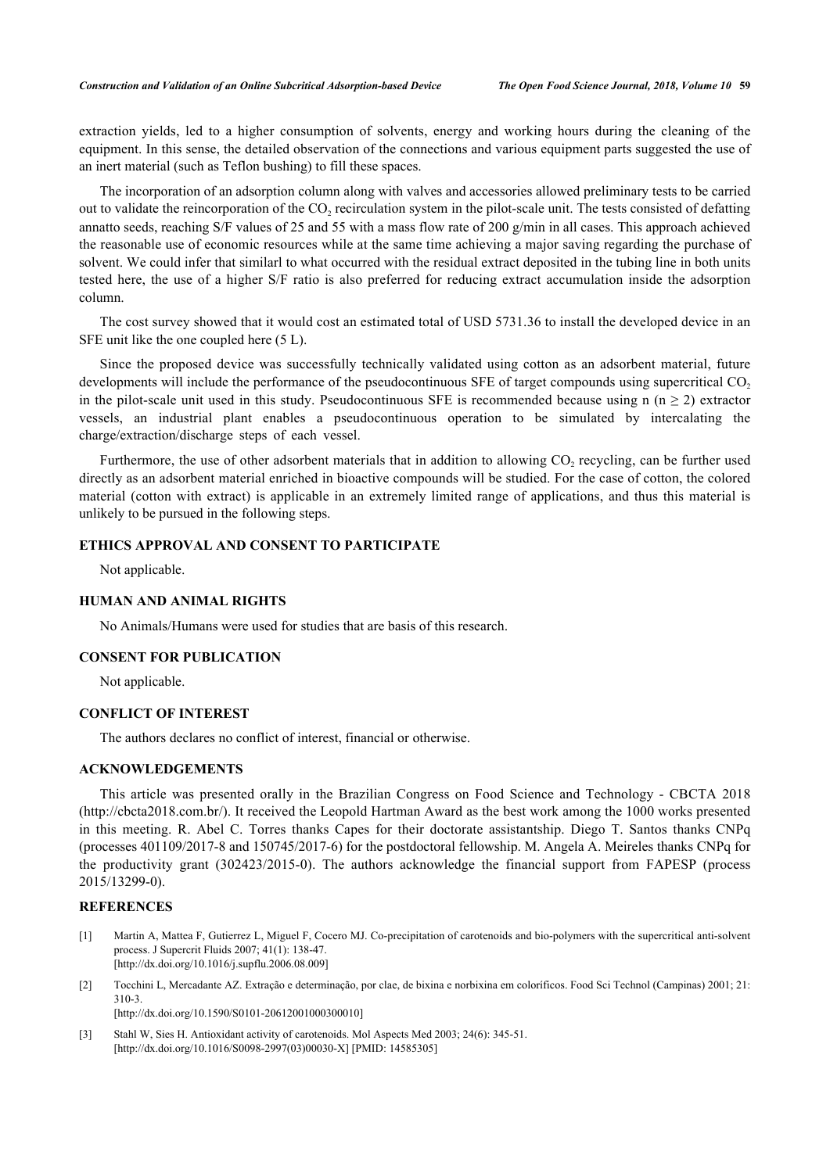extraction yields, led to a higher consumption of solvents, energy and working hours during the cleaning of the equipment. In this sense, the detailed observation of the connections and various equipment parts suggested the use of an inert material (such as Teflon bushing) to fill these spaces.

The incorporation of an adsorption column along with valves and accessories allowed preliminary tests to be carried out to validate the reincorporation of the  $CO_2$  recirculation system in the pilot-scale unit. The tests consisted of defatting annatto seeds, reaching S/F values of 25 and 55 with a mass flow rate of 200  $g/min$  in all cases. This approach achieved the reasonable use of economic resources while at the same time achieving a major saving regarding the purchase of solvent. We could infer that similarl to what occurred with the residual extract deposited in the tubing line in both units tested here, the use of a higher S/F ratio is also preferred for reducing extract accumulation inside the adsorption column.

The cost survey showed that it would cost an estimated total of USD 5731.36 to install the developed device in an SFE unit like the one coupled here (5 L).

Since the proposed device was successfully technically validated using cotton as an adsorbent material, future developments will include the performance of the pseudocontinuous SFE of target compounds using supercritical CO<sub>2</sub> in the pilot-scale unit used in this study. Pseudocontinuous SFE is recommended because using n ( $n \geq 2$ ) extractor vessels, an industrial plant enables a pseudocontinuous operation to be simulated by intercalating the charge/extraction/discharge steps of each vessel.

Furthermore, the use of other adsorbent materials that in addition to allowing  $CO_2$  recycling, can be further used directly as an adsorbent material enriched in bioactive compounds will be studied. For the case of cotton, the colored material (cotton with extract) is applicable in an extremely limited range of applications, and thus this material is unlikely to be pursued in the following steps.

# **ETHICS APPROVAL AND CONSENT TO PARTICIPATE**

Not applicable.

# **HUMAN AND ANIMAL RIGHTS**

No Animals/Humans were used for studies that are basis of this research.

## **CONSENT FOR PUBLICATION**

Not applicable.

# **CONFLICT OF INTEREST**

The authors declares no conflict of interest, financial or otherwise.

# **ACKNOWLEDGEMENTS**

This article was presented orally in the Brazilian Congress on Food Science and Technology - CBCTA 2018 [\(http://cbcta2018.com.br/\)](http://cbcta2018.com.br/). It received the Leopold Hartman Award as the best work among the 1000 works presented in this meeting. R. Abel C. Torres thanks Capes for their doctorate assistantship. Diego T. Santos thanks CNPq (processes 401109/2017-8 and 150745/2017-6) for the postdoctoral fellowship. M. Angela A. Meireles thanks CNPq for the productivity grant (302423/2015-0). The authors acknowledge the financial support from FAPESP (process 2015/13299-0).

# **REFERENCES**

- <span id="page-13-0"></span>[1] Martin A, Mattea F, Gutierrez L, Miguel F, Cocero MJ. Co-precipitation of carotenoids and bio-polymers with the supercritical anti-solvent process. J Supercrit Fluids 2007; 41(1): 138-47. [\[http://dx.doi.org/10.1016/j.supflu.2006.08.009](http://dx.doi.org/10.1016/j.supflu.2006.08.009)]
- <span id="page-13-1"></span>[2] Tocchini L, Mercadante AZ. Extração e determinação, por clae, de bixina e norbixina em coloríficos. Food Sci Technol (Campinas) 2001; 21: 310-3.

[\[http://dx.doi.org/10.1590/S0101-20612001000300010\]](http://dx.doi.org/10.1590/S0101-20612001000300010)

<span id="page-13-2"></span>[3] Stahl W, Sies H. Antioxidant activity of carotenoids. Mol Aspects Med 2003; 24(6): 345-51. [\[http://dx.doi.org/10.1016/S0098-2997\(03\)00030-X\]](http://dx.doi.org/10.1016/S0098-2997(03)00030-X) [PMID: [14585305](http://www.ncbi.nlm.nih.gov/pubmed/14585305)]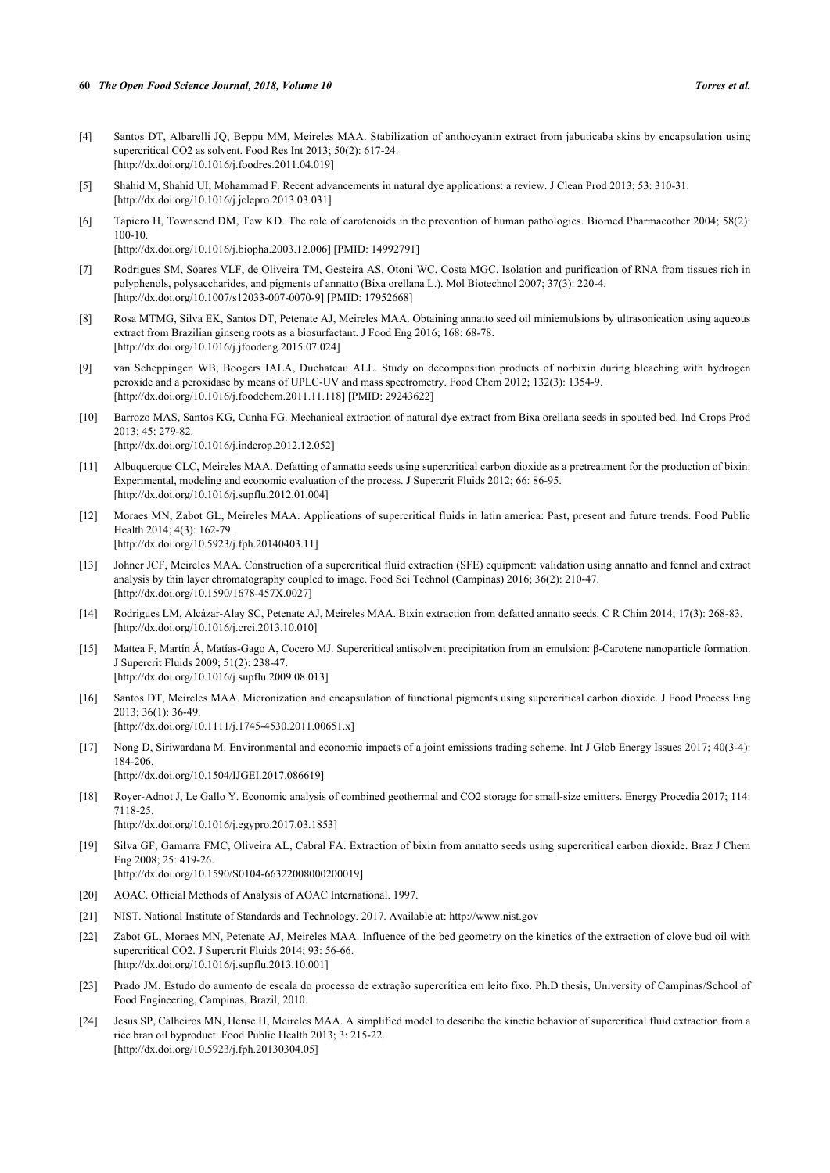#### **60** *The Open Food Science Journal, 2018, Volume 10 Torres et al.*

- <span id="page-14-0"></span>[4] Santos DT, Albarelli JQ, Beppu MM, Meireles MAA. Stabilization of anthocyanin extract from jabuticaba skins by encapsulation using supercritical CO2 as solvent. Food Res Int 2013; 50(2): 617-24. [\[http://dx.doi.org/10.1016/j.foodres.2011.04.019](http://dx.doi.org/10.1016/j.foodres.2011.04.019)]
- [5] Shahid M, Shahid UI, Mohammad F. Recent advancements in natural dye applications: a review. J Clean Prod 2013; 53: 310-31. [\[http://dx.doi.org/10.1016/j.jclepro.2013.03.031](http://dx.doi.org/10.1016/j.jclepro.2013.03.031)]
- <span id="page-14-1"></span>[6] Tapiero H, Townsend DM, Tew KD. The role of carotenoids in the prevention of human pathologies. Biomed Pharmacother 2004; 58(2):  $100 - 10$ .

[\[http://dx.doi.org/10.1016/j.biopha.2003.12.006\]](http://dx.doi.org/10.1016/j.biopha.2003.12.006) [PMID: [14992791](http://www.ncbi.nlm.nih.gov/pubmed/14992791)]

- <span id="page-14-2"></span>[7] Rodrigues SM, Soares VLF, de Oliveira TM, Gesteira AS, Otoni WC, Costa MGC. Isolation and purification of RNA from tissues rich in polyphenols, polysaccharides, and pigments of annatto (Bixa orellana L.). Mol Biotechnol 2007; 37(3): 220-4. [\[http://dx.doi.org/10.1007/s12033-007-0070-9\]](http://dx.doi.org/10.1007/s12033-007-0070-9) [PMID: [17952668](http://www.ncbi.nlm.nih.gov/pubmed/17952668)]
- <span id="page-14-3"></span>[8] Rosa MTMG, Silva EK, Santos DT, Petenate AJ, Meireles MAA. Obtaining annatto seed oil miniemulsions by ultrasonication using aqueous extract from Brazilian ginseng roots as a biosurfactant. J Food Eng 2016; 168: 68-78. [\[http://dx.doi.org/10.1016/j.jfoodeng.2015.07.024](http://dx.doi.org/10.1016/j.jfoodeng.2015.07.024)]
- <span id="page-14-4"></span>[9] van Scheppingen WB, Boogers IALA, Duchateau ALL. Study on decomposition products of norbixin during bleaching with hydrogen peroxide and a peroxidase by means of UPLC-UV and mass spectrometry. Food Chem 2012; 132(3): 1354-9. [\[http://dx.doi.org/10.1016/j.foodchem.2011.11.118](http://dx.doi.org/10.1016/j.foodchem.2011.11.118)] [PMID: [29243622\]](http://www.ncbi.nlm.nih.gov/pubmed/29243622)
- <span id="page-14-5"></span>[10] Barrozo MAS, Santos KG, Cunha FG. Mechanical extraction of natural dye extract from Bixa orellana seeds in spouted bed. Ind Crops Prod 2013; 45: 279-82. [\[http://dx.doi.org/10.1016/j.indcrop.2012.12.052](http://dx.doi.org/10.1016/j.indcrop.2012.12.052)]
- <span id="page-14-6"></span>[11] Albuquerque CLC, Meireles MAA. Defatting of annatto seeds using supercritical carbon dioxide as a pretreatment for the production of bixin: Experimental, modeling and economic evaluation of the process. J Supercrit Fluids 2012; 66: 86-95. [\[http://dx.doi.org/10.1016/j.supflu.2012.01.004](http://dx.doi.org/10.1016/j.supflu.2012.01.004)]
- <span id="page-14-7"></span>[12] Moraes MN, Zabot GL, Meireles MAA. Applications of supercritical fluids in latin america: Past, present and future trends. Food Public Health 2014; 4(3): 162-79. [\[http://dx.doi.org/10.5923/j.fph.20140403.11\]](http://dx.doi.org/10.5923/j.fph.20140403.11)
- <span id="page-14-8"></span>[13] Johner JCF, Meireles MAA. Construction of a supercritical fluid extraction (SFE) equipment: validation using annatto and fennel and extract analysis by thin layer chromatography coupled to image. Food Sci Technol (Campinas) 2016; 36(2): 210-47. [\[http://dx.doi.org/10.1590/1678-457X.0027](http://dx.doi.org/10.1590/1678-457X.0027)]
- <span id="page-14-9"></span>[14] Rodrigues LM, Alcázar-Alay SC, Petenate AJ, Meireles MAA. Bixin extraction from defatted annatto seeds. C R Chim 2014; 17(3): 268-83. [\[http://dx.doi.org/10.1016/j.crci.2013.10.010](http://dx.doi.org/10.1016/j.crci.2013.10.010)]
- <span id="page-14-10"></span>[15] Mattea F, Martín Á, Matías-Gago A, Cocero MJ. Supercritical antisolvent precipitation from an emulsion: β-Carotene nanoparticle formation. J Supercrit Fluids 2009; 51(2): 238-47. [\[http://dx.doi.org/10.1016/j.supflu.2009.08.013](http://dx.doi.org/10.1016/j.supflu.2009.08.013)]
- <span id="page-14-11"></span>[16] Santos DT, Meireles MAA. Micronization and encapsulation of functional pigments using supercritical carbon dioxide. J Food Process Eng  $2013:36(1):36-49$ [\[http://dx.doi.org/10.1111/j.1745-4530.2011.00651.x\]](http://dx.doi.org/10.1111/j.1745-4530.2011.00651.x)
- <span id="page-14-12"></span>[17] Nong D, Siriwardana M. Environmental and economic impacts of a joint emissions trading scheme. Int J Glob Energy Issues 2017; 40(3-4): 184-206. [\[http://dx.doi.org/10.1504/IJGEI.2017.086619\]](http://dx.doi.org/10.1504/IJGEI.2017.086619)
- <span id="page-14-13"></span>[18] Royer-Adnot J, Le Gallo Y. Economic analysis of combined geothermal and CO2 storage for small-size emitters. Energy Procedia 2017; 114: 7118-25. [\[http://dx.doi.org/10.1016/j.egypro.2017.03.1853](http://dx.doi.org/10.1016/j.egypro.2017.03.1853)]
- <span id="page-14-14"></span>[19] Silva GF, Gamarra FMC, Oliveira AL, Cabral FA. Extraction of bixin from annatto seeds using supercritical carbon dioxide. Braz J Chem Eng 2008; 25: 419-26. [\[http://dx.doi.org/10.1590/S0104-66322008000200019\]](http://dx.doi.org/10.1590/S0104-66322008000200019)
- <span id="page-14-15"></span>[20] AOAC. Official Methods of Analysis of AOAC International. 1997.
- <span id="page-14-16"></span>[21] NIST. National Institute of Standards and Technology. 2017. Available at:<http://www.nist.gov>
- <span id="page-14-17"></span>[22] Zabot GL, Moraes MN, Petenate AJ, Meireles MAA. Influence of the bed geometry on the kinetics of the extraction of clove bud oil with supercritical CO2. J Supercrit Fluids 2014; 93: 56-66. [\[http://dx.doi.org/10.1016/j.supflu.2013.10.001](http://dx.doi.org/10.1016/j.supflu.2013.10.001)]
- <span id="page-14-18"></span>[23] Prado JM. Estudo do aumento de escala do processo de extração supercrítica em leito fixo. Ph.D thesis, University of Campinas/School of Food Engineering, Campinas, Brazil, 2010.
- <span id="page-14-19"></span>[24] Jesus SP, Calheiros MN, Hense H, Meireles MAA. A simplified model to describe the kinetic behavior of supercritical fluid extraction from a rice bran oil byproduct. Food Public Health 2013; 3: 215-22. [\[http://dx.doi.org/10.5923/j.fph.20130304.05\]](http://dx.doi.org/10.5923/j.fph.20130304.05)